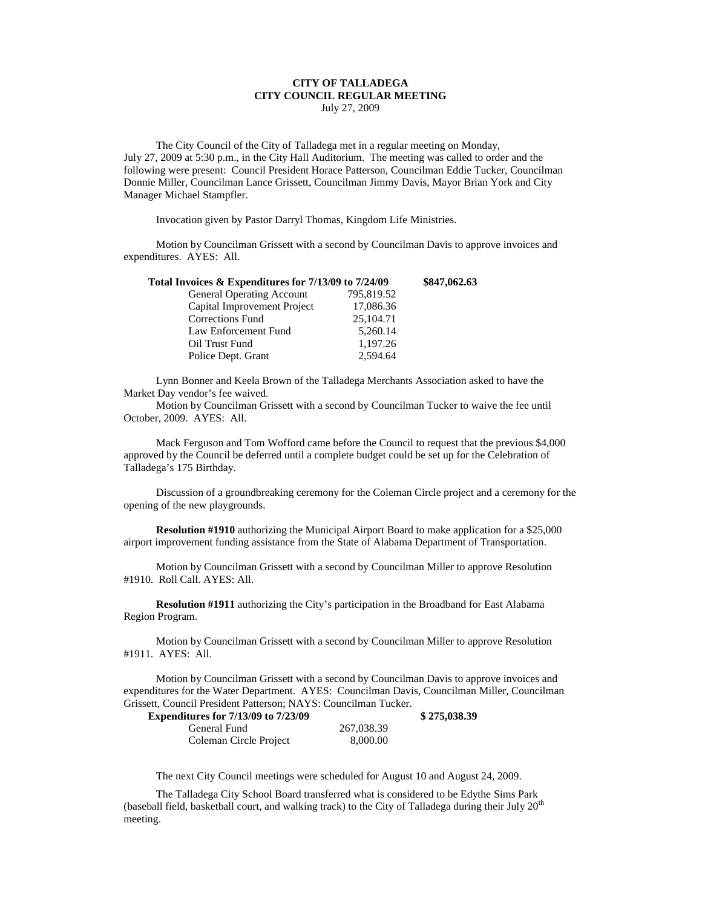## **CITY OF TALLADEGA CITY COUNCIL REGULAR MEETING** July 27, 2009

The City Council of the City of Talladega met in a regular meeting on Monday, July 27, 2009 at 5:30 p.m., in the City Hall Auditorium. The meeting was called to order and the following were present: Council President Horace Patterson, Councilman Eddie Tucker, Councilman Donnie Miller, Councilman Lance Grissett, Councilman Jimmy Davis, Mayor Brian York and City Manager Michael Stampfler.

Invocation given by Pastor Darryl Thomas, Kingdom Life Ministries.

Motion by Councilman Grissett with a second by Councilman Davis to approve invoices and expenditures. AYES: All.

|            | \$847,062.63                                         |
|------------|------------------------------------------------------|
| 795,819.52 |                                                      |
| 17,086.36  |                                                      |
| 25,104.71  |                                                      |
| 5,260.14   |                                                      |
| 1,197.26   |                                                      |
| 2.594.64   |                                                      |
|            | Total Invoices & Expenditures for 7/13/09 to 7/24/09 |

Lynn Bonner and Keela Brown of the Talladega Merchants Association asked to have the Market Day vendor's fee waived.

Motion by Councilman Grissett with a second by Councilman Tucker to waive the fee until October, 2009. AYES: All.

Mack Ferguson and Tom Wofford came before the Council to request that the previous \$4,000 approved by the Council be deferred until a complete budget could be set up for the Celebration of Talladega's 175 Birthday.

Discussion of a groundbreaking ceremony for the Coleman Circle project and a ceremony for the opening of the new playgrounds.

**Resolution #1910** authorizing the Municipal Airport Board to make application for a \$25,000 airport improvement funding assistance from the State of Alabama Department of Transportation.

Motion by Councilman Grissett with a second by Councilman Miller to approve Resolution #1910. Roll Call. AYES: All.

**Resolution #1911** authorizing the City's participation in the Broadband for East Alabama Region Program.

Motion by Councilman Grissett with a second by Councilman Miller to approve Resolution #1911. AYES: All.

Motion by Councilman Grissett with a second by Councilman Davis to approve invoices and expenditures for the Water Department. AYES: Councilman Davis, Councilman Miller, Councilman Grissett, Council President Patterson; NAYS: Councilman Tucker.

| <b>Expenditures for 7/13/09 to 7/23/09</b> |            | \$275,038.39 |
|--------------------------------------------|------------|--------------|
| General Fund                               | 267,038.39 |              |
| Coleman Circle Project                     | 8.000.00   |              |

The next City Council meetings were scheduled for August 10 and August 24, 2009.

The Talladega City School Board transferred what is considered to be Edythe Sims Park (baseball field, basketball court, and walking track) to the City of Talladega during their July 20<sup>th</sup> meeting.